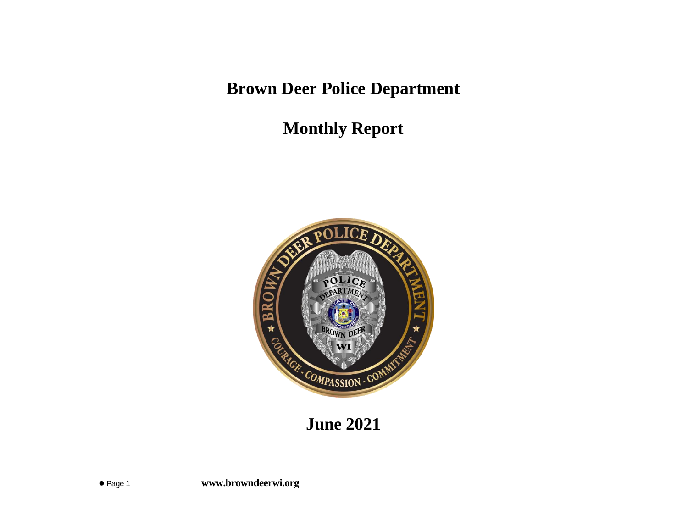**Brown Deer Police Department**

**Monthly Report**



**June 2021**

⚫ Page 1 **www.browndeerwi.org**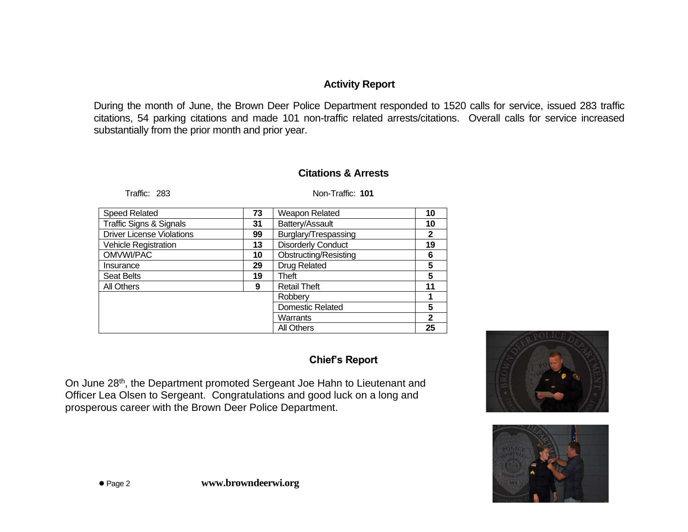# **Activity Report**

During the month of June, the Brown Deer Police Department responded to 1520 calls for service, issued 283 traffic citations, 54 parking citations and made 101 non-traffic related arrests/citations. Overall calls for service increased substantially from the prior month and prior year.

## **Citations & Arrests**

Traffic: 283 Non-Traffic: **101**

| <b>Speed Related</b>               | 73 | Weapon Related               | 10           |
|------------------------------------|----|------------------------------|--------------|
| <b>Traffic Signs &amp; Signals</b> | 31 | Battery/Assault              | 10           |
| <b>Driver License Violations</b>   | 99 | Burglary/Trespassing         | 2            |
| <b>Vehicle Registration</b>        | 13 | <b>Disorderly Conduct</b>    | 19           |
| OMVWI/PAC                          | 10 | <b>Obstructing/Resisting</b> | 6            |
| Insurance                          | 29 | <b>Drug Related</b>          | 5            |
| <b>Seat Belts</b>                  | 19 | Theft                        | 5            |
| All Others                         | 9  | <b>Retail Theft</b>          | 11           |
|                                    |    | Robberv                      |              |
|                                    |    | <b>Domestic Related</b>      | 5            |
|                                    |    | Warrants                     | $\mathbf{2}$ |
|                                    |    | <b>All Others</b>            | 25           |

## **Chief's Report**

On June 28<sup>th</sup>, the Department promoted Sergeant Joe Hahn to Lieutenant and Officer Lea Olsen to Sergeant. Congratulations and good luck on a long and prosperous career with the Brown Deer Police Department.



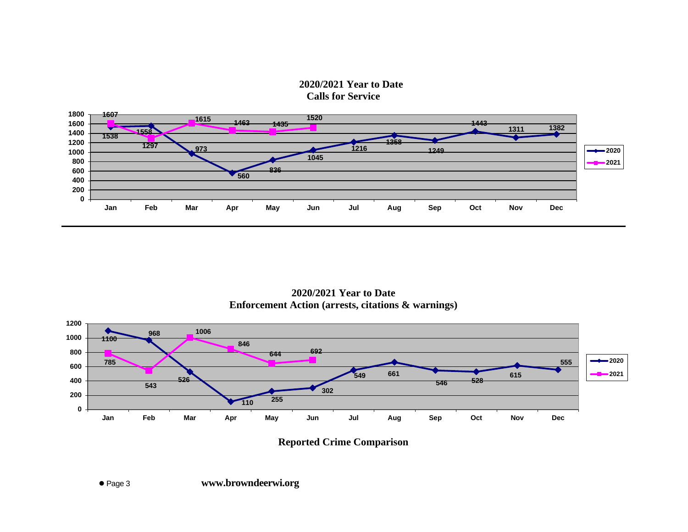



**2020/2021 Year to Date Enforcement Action (arrests, citations & warnings)**



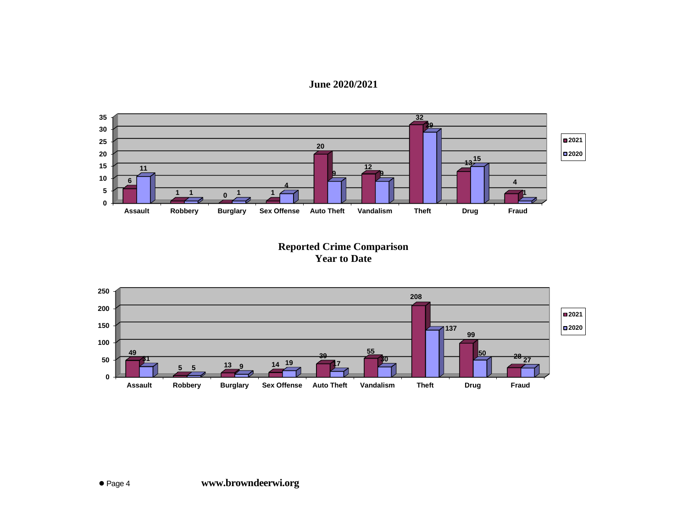#### **June 2020/2021**



## **Reported Crime Comparison Year to Date**

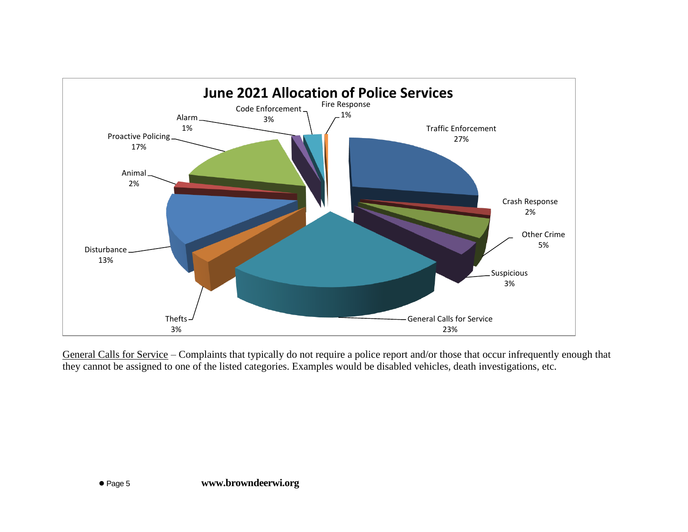

General Calls for Service – Complaints that typically do not require a police report and/or those that occur infrequently enough that they cannot be assigned to one of the listed categories. Examples would be disabled vehicles, death investigations, etc.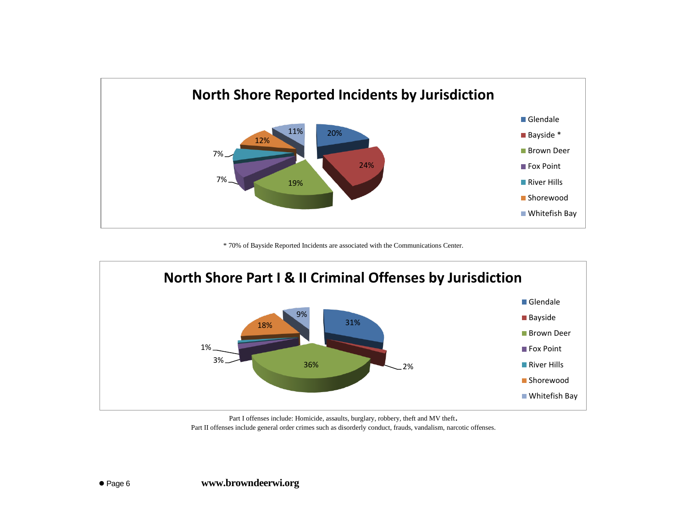

\* 70% of Bayside Reported Incidents are associated with the Communications Center.



Part I offenses include: Homicide, assaults, burglary, robbery, theft and MV theft. Part II offenses include general order crimes such as disorderly conduct, frauds, vandalism, narcotic offenses.